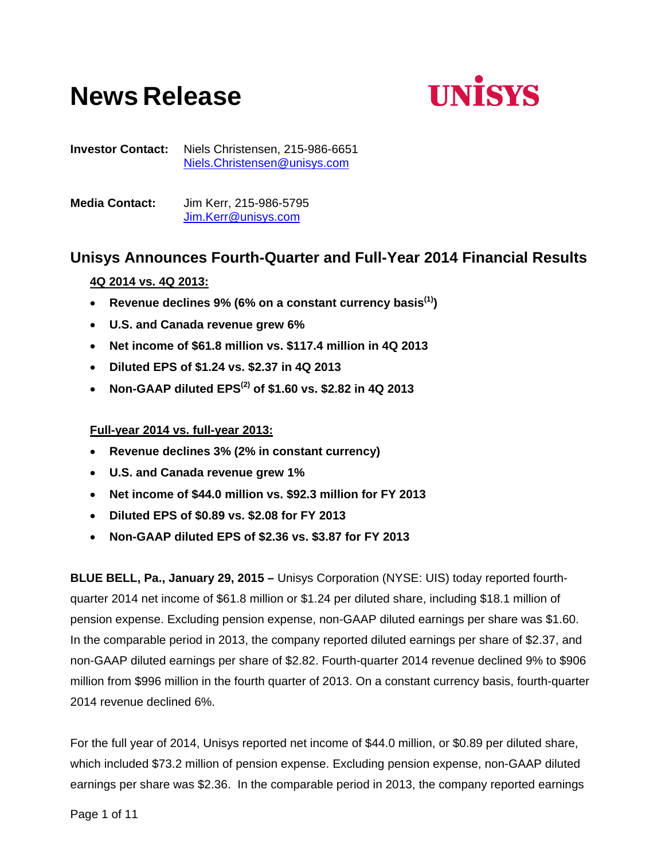# **News Release**



**Investor Contact:** Niels Christensen, 215-986-6651 Niels.Christensen@unisys.com

**Media Contact:** Jim Kerr, 215-986-5795 Jim.Kerr@unisys.com

# **Unisys Announces Fourth-Quarter and Full-Year 2014 Financial Results**

# **4Q 2014 vs. 4Q 2013:**

- **Revenue declines 9% (6% on a constant currency basis(1))**
- **U.S. and Canada revenue grew 6%**
- **Net income of \$61.8 million vs. \$117.4 million in 4Q 2013**
- **Diluted EPS of \$1.24 vs. \$2.37 in 4Q 2013**
- **Non-GAAP diluted EPS(2) of \$1.60 vs. \$2.82 in 4Q 2013**

# **Full-year 2014 vs. full-year 2013:**

- **Revenue declines 3% (2% in constant currency)**
- **U.S. and Canada revenue grew 1%**
- **Net income of \$44.0 million vs. \$92.3 million for FY 2013**
- **Diluted EPS of \$0.89 vs. \$2.08 for FY 2013**
- **Non-GAAP diluted EPS of \$2.36 vs. \$3.87 for FY 2013**

**BLUE BELL, Pa., January 29, 2015 –** Unisys Corporation (NYSE: UIS) today reported fourthquarter 2014 net income of \$61.8 million or \$1.24 per diluted share, including \$18.1 million of pension expense. Excluding pension expense, non-GAAP diluted earnings per share was \$1.60. In the comparable period in 2013, the company reported diluted earnings per share of \$2.37, and non-GAAP diluted earnings per share of \$2.82. Fourth-quarter 2014 revenue declined 9% to \$906 million from \$996 million in the fourth quarter of 2013. On a constant currency basis, fourth-quarter 2014 revenue declined 6%.

For the full year of 2014, Unisys reported net income of \$44.0 million, or \$0.89 per diluted share, which included \$73.2 million of pension expense. Excluding pension expense, non-GAAP diluted earnings per share was \$2.36. In the comparable period in 2013, the company reported earnings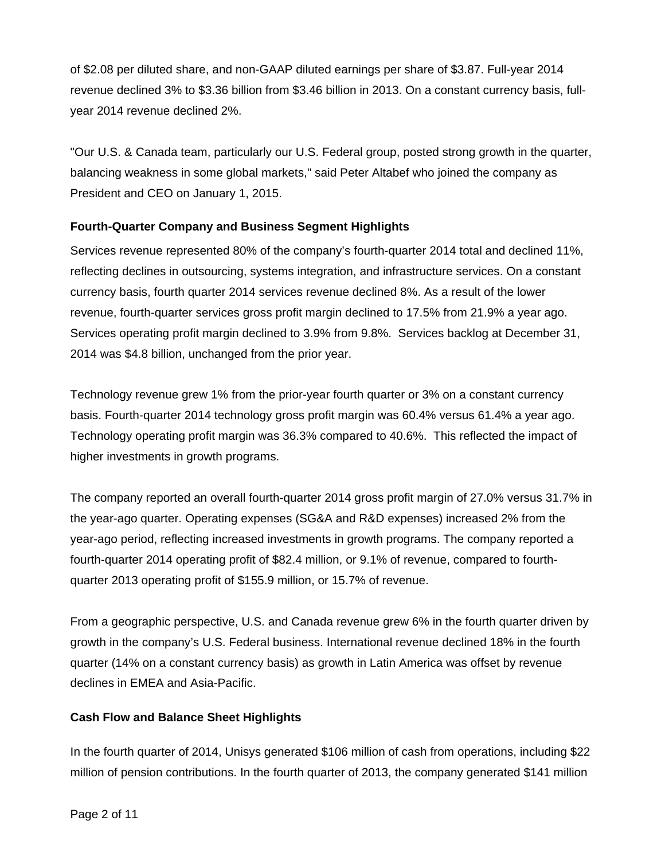of \$2.08 per diluted share, and non-GAAP diluted earnings per share of \$3.87. Full-year 2014 revenue declined 3% to \$3.36 billion from \$3.46 billion in 2013. On a constant currency basis, fullyear 2014 revenue declined 2%.

"Our U.S. & Canada team, particularly our U.S. Federal group, posted strong growth in the quarter, balancing weakness in some global markets," said Peter Altabef who joined the company as President and CEO on January 1, 2015.

# **Fourth-Quarter Company and Business Segment Highlights**

Services revenue represented 80% of the company's fourth-quarter 2014 total and declined 11%, reflecting declines in outsourcing, systems integration, and infrastructure services. On a constant currency basis, fourth quarter 2014 services revenue declined 8%. As a result of the lower revenue, fourth-quarter services gross profit margin declined to 17.5% from 21.9% a year ago. Services operating profit margin declined to 3.9% from 9.8%. Services backlog at December 31, 2014 was \$4.8 billion, unchanged from the prior year.

Technology revenue grew 1% from the prior-year fourth quarter or 3% on a constant currency basis. Fourth-quarter 2014 technology gross profit margin was 60.4% versus 61.4% a year ago. Technology operating profit margin was 36.3% compared to 40.6%. This reflected the impact of higher investments in growth programs.

The company reported an overall fourth-quarter 2014 gross profit margin of 27.0% versus 31.7% in the year-ago quarter. Operating expenses (SG&A and R&D expenses) increased 2% from the year-ago period, reflecting increased investments in growth programs. The company reported a fourth-quarter 2014 operating profit of \$82.4 million, or 9.1% of revenue, compared to fourthquarter 2013 operating profit of \$155.9 million, or 15.7% of revenue.

From a geographic perspective, U.S. and Canada revenue grew 6% in the fourth quarter driven by growth in the company's U.S. Federal business. International revenue declined 18% in the fourth quarter (14% on a constant currency basis) as growth in Latin America was offset by revenue declines in EMEA and Asia-Pacific.

# **Cash Flow and Balance Sheet Highlights**

In the fourth quarter of 2014, Unisys generated \$106 million of cash from operations, including \$22 million of pension contributions. In the fourth quarter of 2013, the company generated \$141 million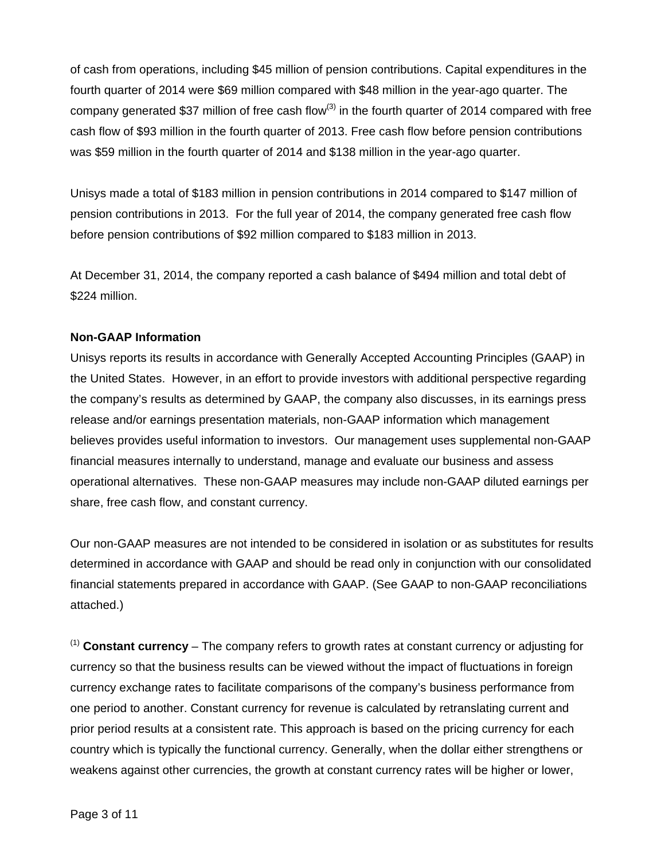of cash from operations, including \$45 million of pension contributions. Capital expenditures in the fourth quarter of 2014 were \$69 million compared with \$48 million in the year-ago quarter. The company generated \$37 million of free cash flow<sup>(3)</sup> in the fourth quarter of 2014 compared with free cash flow of \$93 million in the fourth quarter of 2013. Free cash flow before pension contributions was \$59 million in the fourth quarter of 2014 and \$138 million in the year-ago quarter.

Unisys made a total of \$183 million in pension contributions in 2014 compared to \$147 million of pension contributions in 2013. For the full year of 2014, the company generated free cash flow before pension contributions of \$92 million compared to \$183 million in 2013.

At December 31, 2014, the company reported a cash balance of \$494 million and total debt of \$224 million.

### **Non-GAAP Information**

Unisys reports its results in accordance with Generally Accepted Accounting Principles (GAAP) in the United States. However, in an effort to provide investors with additional perspective regarding the company's results as determined by GAAP, the company also discusses, in its earnings press release and/or earnings presentation materials, non-GAAP information which management believes provides useful information to investors. Our management uses supplemental non-GAAP financial measures internally to understand, manage and evaluate our business and assess operational alternatives. These non-GAAP measures may include non-GAAP diluted earnings per share, free cash flow, and constant currency.

Our non-GAAP measures are not intended to be considered in isolation or as substitutes for results determined in accordance with GAAP and should be read only in conjunction with our consolidated financial statements prepared in accordance with GAAP. (See GAAP to non-GAAP reconciliations attached.)

(1) **Constant currency** – The company refers to growth rates at constant currency or adjusting for currency so that the business results can be viewed without the impact of fluctuations in foreign currency exchange rates to facilitate comparisons of the company's business performance from one period to another. Constant currency for revenue is calculated by retranslating current and prior period results at a consistent rate. This approach is based on the pricing currency for each country which is typically the functional currency. Generally, when the dollar either strengthens or weakens against other currencies, the growth at constant currency rates will be higher or lower,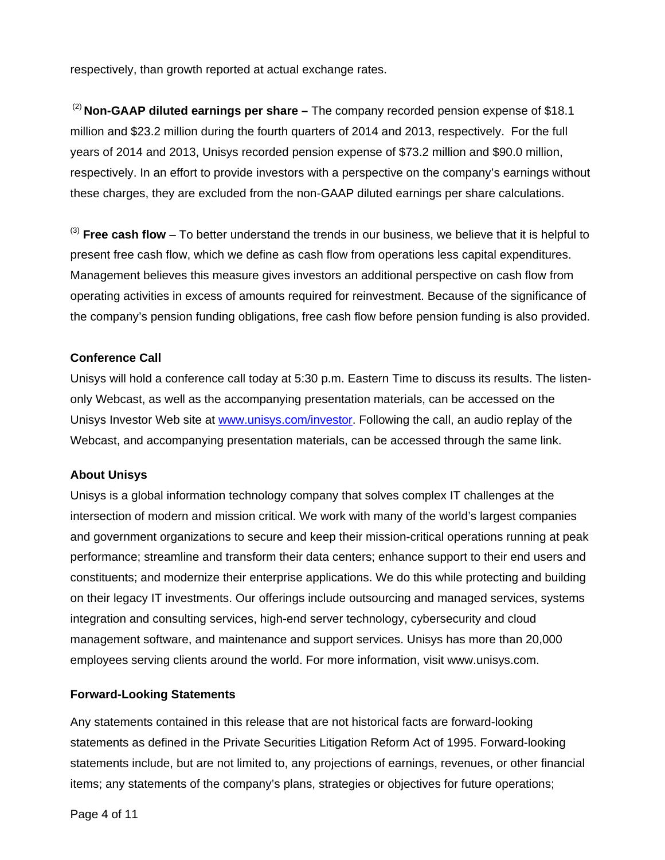respectively, than growth reported at actual exchange rates.

 (2) **Non-GAAP diluted earnings per share –** The company recorded pension expense of \$18.1 million and \$23.2 million during the fourth quarters of 2014 and 2013, respectively. For the full years of 2014 and 2013, Unisys recorded pension expense of \$73.2 million and \$90.0 million, respectively. In an effort to provide investors with a perspective on the company's earnings without these charges, they are excluded from the non-GAAP diluted earnings per share calculations.

(3) **Free cash flow** – To better understand the trends in our business, we believe that it is helpful to present free cash flow, which we define as cash flow from operations less capital expenditures. Management believes this measure gives investors an additional perspective on cash flow from operating activities in excess of amounts required for reinvestment. Because of the significance of the company's pension funding obligations, free cash flow before pension funding is also provided.

# **Conference Call**

Unisys will hold a conference call today at 5:30 p.m. Eastern Time to discuss its results. The listenonly Webcast, as well as the accompanying presentation materials, can be accessed on the Unisys Investor Web site at www.unisys.com/investor. Following the call, an audio replay of the Webcast, and accompanying presentation materials, can be accessed through the same link.

#### **About Unisys**

Unisys is a global information technology company that solves complex IT challenges at the intersection of modern and mission critical. We work with many of the world's largest companies and government organizations to secure and keep their mission-critical operations running at peak performance; streamline and transform their data centers; enhance support to their end users and constituents; and modernize their enterprise applications. We do this while protecting and building on their legacy IT investments. Our offerings include outsourcing and managed services, systems integration and consulting services, high-end server technology, cybersecurity and cloud management software, and maintenance and support services. Unisys has more than 20,000 employees serving clients around the world. For more information, visit www.unisys.com.

#### **Forward-Looking Statements**

Any statements contained in this release that are not historical facts are forward-looking statements as defined in the Private Securities Litigation Reform Act of 1995. Forward-looking statements include, but are not limited to, any projections of earnings, revenues, or other financial items; any statements of the company's plans, strategies or objectives for future operations;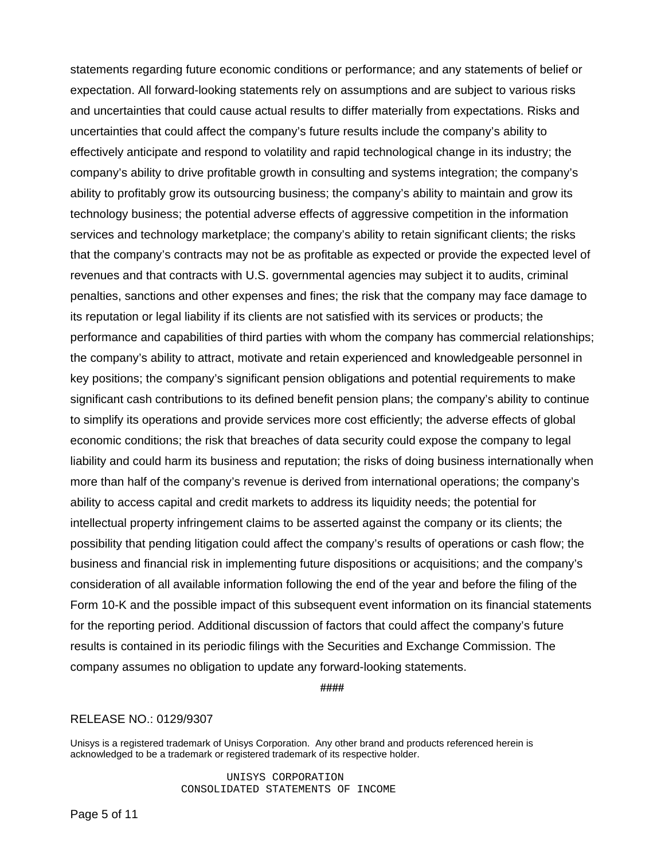statements regarding future economic conditions or performance; and any statements of belief or expectation. All forward-looking statements rely on assumptions and are subject to various risks and uncertainties that could cause actual results to differ materially from expectations. Risks and uncertainties that could affect the company's future results include the company's ability to effectively anticipate and respond to volatility and rapid technological change in its industry; the company's ability to drive profitable growth in consulting and systems integration; the company's ability to profitably grow its outsourcing business; the company's ability to maintain and grow its technology business; the potential adverse effects of aggressive competition in the information services and technology marketplace; the company's ability to retain significant clients; the risks that the company's contracts may not be as profitable as expected or provide the expected level of revenues and that contracts with U.S. governmental agencies may subject it to audits, criminal penalties, sanctions and other expenses and fines; the risk that the company may face damage to its reputation or legal liability if its clients are not satisfied with its services or products; the performance and capabilities of third parties with whom the company has commercial relationships; the company's ability to attract, motivate and retain experienced and knowledgeable personnel in key positions; the company's significant pension obligations and potential requirements to make significant cash contributions to its defined benefit pension plans; the company's ability to continue to simplify its operations and provide services more cost efficiently; the adverse effects of global economic conditions; the risk that breaches of data security could expose the company to legal liability and could harm its business and reputation; the risks of doing business internationally when more than half of the company's revenue is derived from international operations; the company's ability to access capital and credit markets to address its liquidity needs; the potential for intellectual property infringement claims to be asserted against the company or its clients; the possibility that pending litigation could affect the company's results of operations or cash flow; the business and financial risk in implementing future dispositions or acquisitions; and the company's consideration of all available information following the end of the year and before the filing of the Form 10-K and the possible impact of this subsequent event information on its financial statements for the reporting period. Additional discussion of factors that could affect the company's future results is contained in its periodic filings with the Securities and Exchange Commission. The company assumes no obligation to update any forward-looking statements.

**####** 

#### RELEASE NO.: 0129/9307

Unisys is a registered trademark of Unisys Corporation. Any other brand and products referenced herein is acknowledged to be a trademark or registered trademark of its respective holder.

> UNISYS CORPORATION CONSOLIDATED STATEMENTS OF INCOME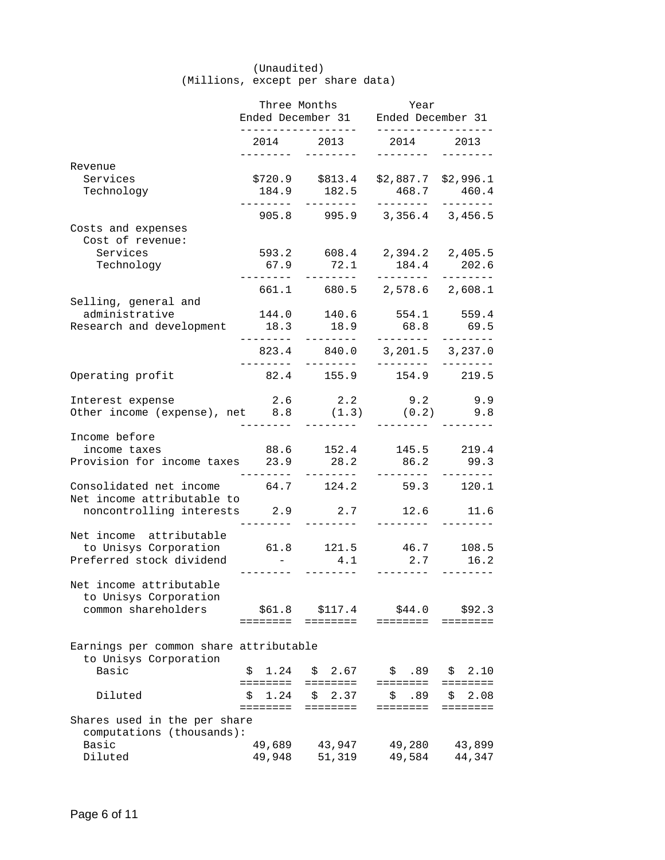|                                   | (Unaudited) |  |  |  |
|-----------------------------------|-------------|--|--|--|
| (Millions, except per share data) |             |  |  |  |

|                                                                                                    | Three Months Year<br>Ended December 31 Ended December 31<br><u>_____________</u> |                                                  | -----------                 |                                    |
|----------------------------------------------------------------------------------------------------|----------------------------------------------------------------------------------|--------------------------------------------------|-----------------------------|------------------------------------|
|                                                                                                    |                                                                                  | 2014 2013 2014 2013                              |                             |                                    |
| Revenue<br>Services<br>Technology                                                                  |                                                                                  | $$720.9$ $$813.4$<br>184.9 182.5 468.7 460.4     | $$2,887.7$ $$2,996.1$       |                                    |
|                                                                                                    | . _ _ _ _ _ _ _                                                                  | ---------<br>905.8 995.9 3,356.4 3,456.5         | ---------                   | $- - - - - - - -$                  |
| Costs and expenses<br>Cost of revenue:                                                             |                                                                                  |                                                  |                             |                                    |
| Services<br>Technology                                                                             | 67.9<br>________                                                                 | 593.2 608.4 2,394.2 2,405.5<br>72.1<br>--------- | 184.4 202.6<br>---------    | $- - - - - - - -$                  |
| Selling, general and                                                                               |                                                                                  | 661.1 680.5 2,578.6 2,608.1                      |                             |                                    |
| administrative<br>Research and development                                                         | 18.3<br>. <u>.</u>                                                               | 144.0 140.6<br>18.9<br>---------                 | 554.1 559.4<br>---------    | 68.8 69.5                          |
|                                                                                                    |                                                                                  | 823.4 840.0 3,201.5 3,237.0<br>---------         | ---------                   | -------<br>$- - - - - - - -$       |
| Operating profit                                                                                   | . _ _ _ _ _ _ _                                                                  | 82.4 155.9 154.9 219.5                           |                             |                                    |
| Interest expense<br>Other income (expense), net 8.8 (1.3) (0.2) 9.8                                |                                                                                  | $2.6$ $2.2$ $9.2$ $9.9$                          |                             |                                    |
| Income before<br>income taxes<br>Provision for income taxes 23.9                                   |                                                                                  | 88.6 152.4 145.5 219.4<br>28.2                   | 86.2 99.3                   |                                    |
| Consolidated net income 64.7 124.2 59.3 120.1<br>Net income attributable to                        | ---------                                                                        |                                                  | ---------                   | $- - - - - - - -$                  |
| noncontrolling interests 2.9 2.7 12.6 11.6                                                         | ---------                                                                        | ---------                                        | ---------                   |                                    |
| Net income attributable<br>to Unisys Corporation 61.8 121.5 46.7 108.5<br>Preferred stock dividend | <b>Contract Contract</b>                                                         | 4.1                                              |                             | 2.7 16.2                           |
| Net income attributable<br>to Unisys Corporation<br>common shareholders                            | --------<br>\$61.8                                                               | \$117.4                                          | $- - - - - - - -$<br>\$44.0 | \$92.3                             |
| Earnings per common share attributable<br>to Unisys Corporation                                    | ========                                                                         | ========                                         | ========                    | <b>EEEEEEEE</b>                    |
| Basic                                                                                              | 1.24<br>\$<br>========                                                           | \$2.67                                           | ========                    | $$3,89$ $$2.10$<br><b>EEEEEEEE</b> |
| Diluted                                                                                            | 1.24<br>\$<br>========                                                           | \$2.37<br>$=$                                    | \$30<br>========            | 2.08<br>S.<br>$=$                  |
| Shares used in the per share<br>computations (thousands):                                          |                                                                                  |                                                  |                             |                                    |
| Basic<br>Diluted                                                                                   | 49,689<br>49,948                                                                 | 43,947<br>51,319                                 | 49,280<br>49,584            | 43,899<br>44,347                   |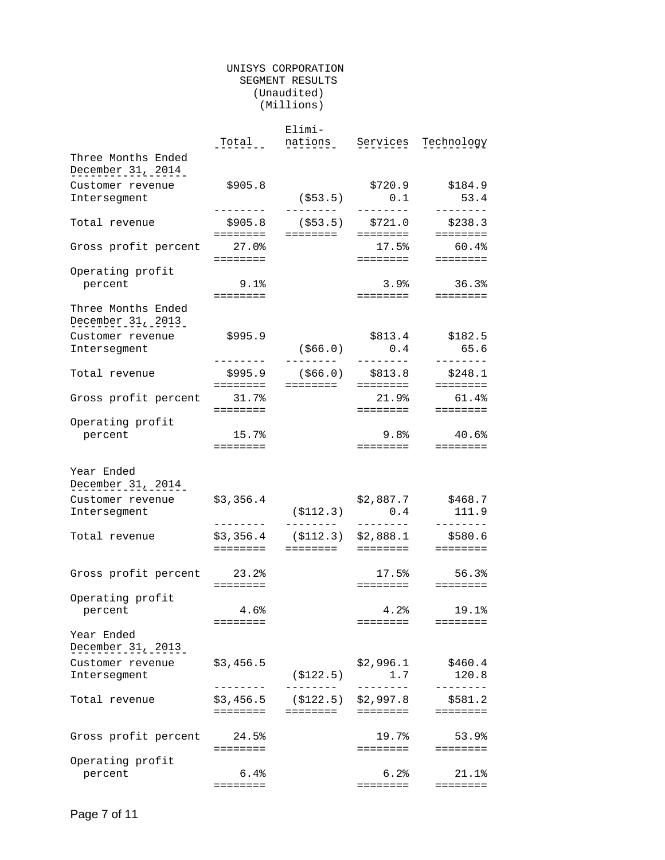#### UNISYS CORPORATION SEGMENT RESULTS (Unaudited) (Millions)

|                                         |                            | Elimi-                  |                         |                                                                         |
|-----------------------------------------|----------------------------|-------------------------|-------------------------|-------------------------------------------------------------------------|
|                                         | Total                      | nations                 | Services                | Technology                                                              |
| Three Months Ended<br>December 31, 2014 |                            |                         |                         |                                                                         |
| Customer revenue                        | \$905.8                    |                         | \$720.9                 | \$184.9                                                                 |
| Intersegment                            | --------                   | ( \$53.5)<br>---------  | 0.1<br><u>________</u>  | 53.4<br>--------                                                        |
| Total revenue                           | \$905.8<br>========        | ( \$53.5)               | \$721.0<br>========     | \$238.3<br>========                                                     |
| Gross profit percent                    | $27.0\%$                   | ========                | 17.5%                   | 60.4%                                                                   |
|                                         | ========                   |                         | ========                | $\qquad \qquad \equiv \equiv \equiv \equiv \equiv \equiv \equiv \equiv$ |
| Operating profit                        | 9.1%                       |                         | 3.9%                    | 36.3%                                                                   |
| percent                                 | ========                   |                         | ========                | <b>EEEEEEEE</b>                                                         |
| Three Months Ended<br>December 31, 2013 |                            |                         |                         |                                                                         |
| Customer revenue                        | \$995.9                    |                         | \$813.4                 | \$182.5                                                                 |
| Intersegment                            | ---------                  | ( \$66.0)               | 0.4<br>---------        | 65.6<br>---------                                                       |
| Total revenue                           | \$995.9                    |                         | $($66.0)$ $$813.8$      | \$248.1                                                                 |
| Gross profit percent                    | ========<br>31.7%          | ========                | ========<br>21.9%       | $=$ $=$ $=$ $=$ $=$ $=$ $=$<br>61.4%                                    |
|                                         | ========                   |                         | ========                | ========                                                                |
| Operating profit                        |                            |                         |                         |                                                                         |
| percent                                 | 15.7%<br>$=$ = = = = = = = |                         | 9.8%<br>========        | $40.6\%$<br><b>EEEEEEEE</b>                                             |
|                                         |                            |                         |                         |                                                                         |
| Year Ended<br>December 31, 2014         |                            |                         |                         |                                                                         |
| Customer revenue                        | \$3,356.4                  |                         | \$2,887.7               | \$468.7                                                                 |
| Intersegment                            | .                          | ( \$112.3)<br>--------- | $0.4$<br>---------      | 111.9<br>--------                                                       |
| Total revenue                           | \$3,356.4                  |                         | $( $112.3)$ $ $2,888.1$ | \$580.6                                                                 |
|                                         | $=$ = = = = = = =          | ========                | $=$ = = = = = = =       | $=$                                                                     |
| Gross profit percent                    | 23.2%                      |                         | 17.5%                   | 56.3%                                                                   |
|                                         | <b>EEEEEEEE</b>            |                         |                         | ========  ========                                                      |
| Operating profit<br>percent             | 4.6%                       |                         | 4.2%                    | 19.1%                                                                   |
|                                         | ========                   |                         | ========                | $=$ = = = = = = =                                                       |
| Year Ended<br>December 31, 2013         |                            |                         |                         |                                                                         |
| Customer revenue                        | \$3,456.5                  |                         | \$2,996.1               | \$460.4                                                                 |
| Intersegment                            | $- - - - - - -$            | ( \$122.5)<br>--------- | 1.7<br>--------         | 120.8<br>-------                                                        |
| Total revenue                           | \$3,456.5                  |                         | (\$122.5) \$2,997.8     | \$581.2                                                                 |
|                                         | ========                   |                         | ========  ========      | ========                                                                |
| Gross profit percent                    | 24.5%                      |                         | 19.7%                   | 53.9%                                                                   |
|                                         | ========                   |                         | ========                | $\qquad \qquad \equiv \equiv \equiv \equiv \equiv \equiv \equiv \equiv$ |
| Operating profit<br>percent             | 6.4%                       |                         | 6.2%                    | 21.1%                                                                   |
|                                         | ========                   |                         | ========                | ========                                                                |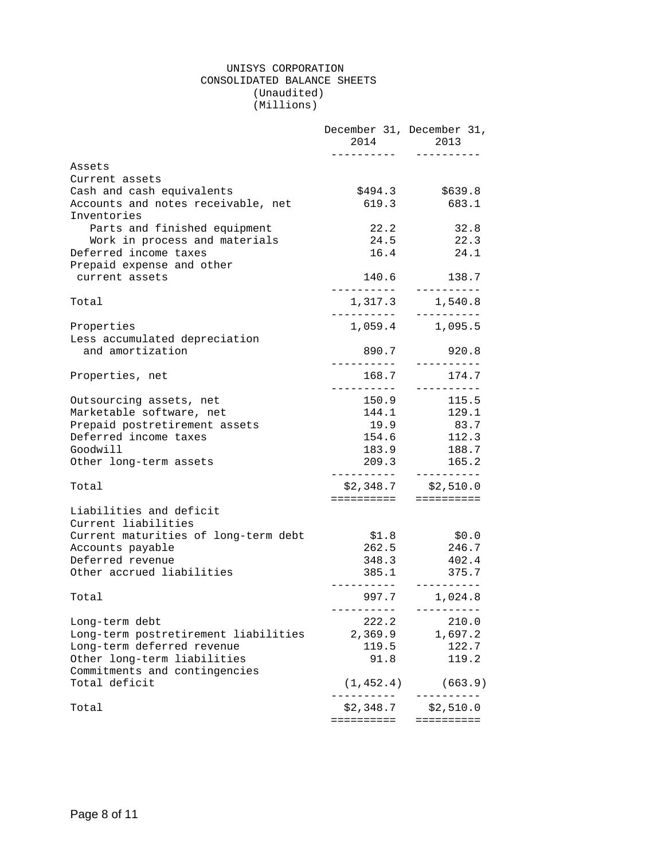#### UNISYS CORPORATION CONSOLIDATED BALANCE SHEETS (Unaudited) (Millions)

|                                                   | December 31, December 31,<br>2014 2013 |                           |
|---------------------------------------------------|----------------------------------------|---------------------------|
|                                                   | . <u>.</u>                             | ----------                |
| Assets                                            |                                        |                           |
| Current assets                                    |                                        |                           |
| Cash and cash equivalents                         | \$494.3                                | \$639.8                   |
| Accounts and notes receivable, net<br>Inventories | 619.3                                  | 683.1                     |
| Parts and finished equipment                      | 22.2                                   | 32.8                      |
| Work in process and materials                     | 24.5                                   | 22.3                      |
| Deferred income taxes                             | 16.4                                   | 24.1                      |
| Prepaid expense and other                         |                                        |                           |
| current assets                                    | 140.6                                  | 138.7                     |
| Total                                             |                                        | 1,317.3 1,540.8           |
|                                                   |                                        |                           |
| Properties                                        |                                        | 1,059.4 1,095.5           |
| Less accumulated depreciation                     |                                        |                           |
| and amortization                                  | 890.7                                  | 920.8                     |
| Properties, net                                   | 168.7                                  | 174.7                     |
|                                                   |                                        | ----------                |
| Outsourcing assets, net                           | 150.9                                  | 115.5                     |
| Marketable software, net                          | 144.1                                  | 129.1                     |
| Prepaid postretirement assets                     | 19.9                                   | 83.7                      |
| Deferred income taxes                             | 154.6                                  | 112.3                     |
| Goodwill                                          | 183.9                                  | 188.7                     |
| Other long-term assets                            | 209.3                                  | 165.2                     |
| Total                                             |                                        | $$2,348.7$ $$2,510.0$     |
|                                                   | =====================                  |                           |
| Liabilities and deficit<br>Current liabilities    |                                        |                           |
| Current maturities of long-term debt              | \$1.8                                  | \$0.0                     |
| Accounts payable                                  | 262.5                                  | 246.7                     |
| Deferred revenue                                  | 348.3                                  | 402.4                     |
| Other accrued liabilities                         | 385.1                                  | 375.7                     |
| Total                                             |                                        | --------<br>997.7 1,024.8 |
| Long-term debt                                    | 222.2                                  | ----------<br>210.0       |
| Long-term postretirement liabilities              | 2,369.9                                | 1,697.2                   |
| Long-term deferred revenue                        | 119.5                                  | 122.7                     |
| Other long-term liabilities                       | 91.8                                   | 119.2                     |
| Commitments and contingencies                     |                                        |                           |
| Total deficit                                     | (1, 452.4)                             | (663.9)                   |
| Total                                             | $- - - - - - -$<br>\$2,348.7           | \$2,510.0                 |
|                                                   | ==========                             | ==========                |
|                                                   |                                        |                           |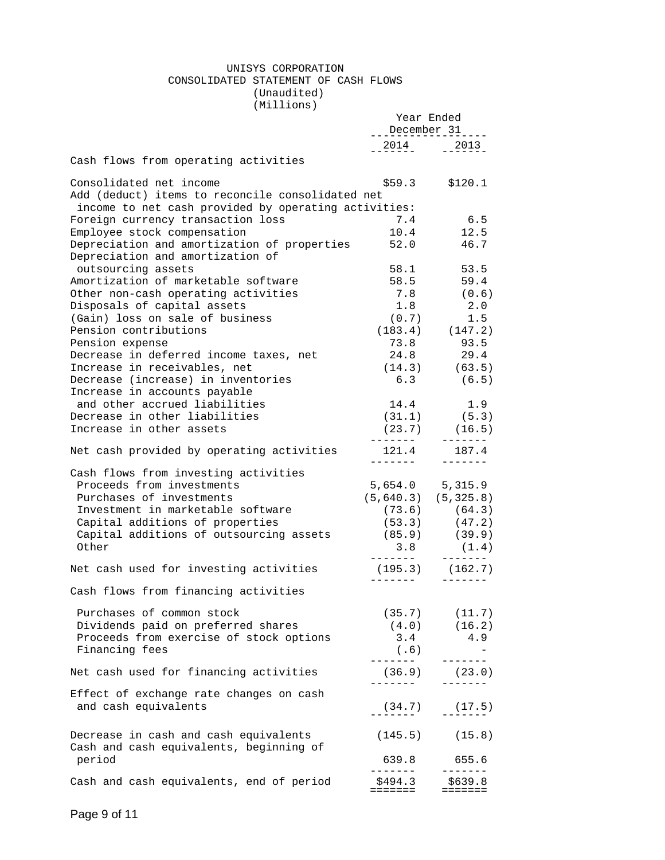#### UNISYS CORPORATION CONSOLIDATED STATEMENT OF CASH FLOWS (Unaudited)

(Millions)

|                                                                                  | Year Ended              |                                        |  |
|----------------------------------------------------------------------------------|-------------------------|----------------------------------------|--|
|                                                                                  | ___December_31          |                                        |  |
|                                                                                  | $-2014 - 2013$          |                                        |  |
| Cash flows from operating activities                                             |                         |                                        |  |
| Consolidated net income                                                          | \$59.3                  | \$120.1                                |  |
| Add (deduct) items to reconcile consolidated net                                 |                         |                                        |  |
| income to net cash provided by operating activities:                             |                         |                                        |  |
| Foreign currency transaction loss                                                | 7.4<br>10.4             | 6.5                                    |  |
| Employee stock compensation<br>Depreciation and amortization of properties       | 52.0                    | 12.5<br>46.7                           |  |
| Depreciation and amortization of                                                 |                         |                                        |  |
| outsourcing assets                                                               | 58.1                    | 53.5                                   |  |
| Amortization of marketable software                                              | 58.5                    | 59.4                                   |  |
| Other non-cash operating activities                                              | 7.8                     | (0.6)                                  |  |
| Disposals of capital assets                                                      | 1.8                     | 2.0                                    |  |
| (Gain) loss on sale of business<br>Pension contributions                         | (0.7)                   | 1.5<br>$(183.4)$ $(147.2)$             |  |
| Pension expense                                                                  | 73.8                    | 93.5                                   |  |
| Decrease in deferred income taxes, net                                           |                         | 24.8 29.4                              |  |
| Increase in receivables, net                                                     |                         | $(14.3)$ (63.5)                        |  |
| Decrease (increase) in inventories                                               |                         | $6.3$ (6.5)                            |  |
| Increase in accounts payable                                                     |                         |                                        |  |
| and other accrued liabilities                                                    | 14.4                    | 1.9                                    |  |
| Decrease in other liabilities                                                    | (31.1)                  | (5.3)                                  |  |
| Increase in other assets                                                         | (23.7)                  | (16.5)                                 |  |
| Net cash provided by operating activities                                        | --------<br>121.4       | $- - - - - - -$<br>187.4<br>. <u>.</u> |  |
| Cash flows from investing activities                                             |                         |                                        |  |
| Proceeds from investments                                                        |                         | 5,654.0 5,315.9                        |  |
| Purchases of investments                                                         | $(5,640.3)$ $(5,325.8)$ |                                        |  |
| Investment in marketable software                                                |                         | $(73.6)$ (64.3)                        |  |
| Capital additions of properties                                                  |                         | $(53.3)$ $(47.2)$                      |  |
| Capital additions of outsourcing assets                                          |                         | $(85.9)$ $(39.9)$                      |  |
| Other                                                                            | 3.8                     | (1.4)                                  |  |
| Net cash used for investing activities                                           | --------                | $(195.3)$ $(162.7)$                    |  |
| Cash flows from financing activities                                             |                         |                                        |  |
|                                                                                  |                         |                                        |  |
| Purchases of common stock                                                        | (35.7)                  | (11.7)                                 |  |
| Dividends paid on preferred shares                                               | (4.0)                   | (16.2)                                 |  |
| Proceeds from exercise of stock options                                          | 3.4                     | 4.9                                    |  |
| Financing fees                                                                   | (.6)<br>--------        |                                        |  |
| Net cash used for financing activities                                           | (36.9)                  | (23.0)                                 |  |
| Effect of exchange rate changes on cash                                          |                         |                                        |  |
| and cash equivalents                                                             | (34.7)                  | (17.5)                                 |  |
| Decrease in cash and cash equivalents<br>Cash and cash equivalents, beginning of | (145.5)                 | (15.8)                                 |  |
| period                                                                           | 639.8                   | 655.6                                  |  |
| Cash and cash equivalents, end of period                                         | \$494.3                 | \$639.8<br>=======                     |  |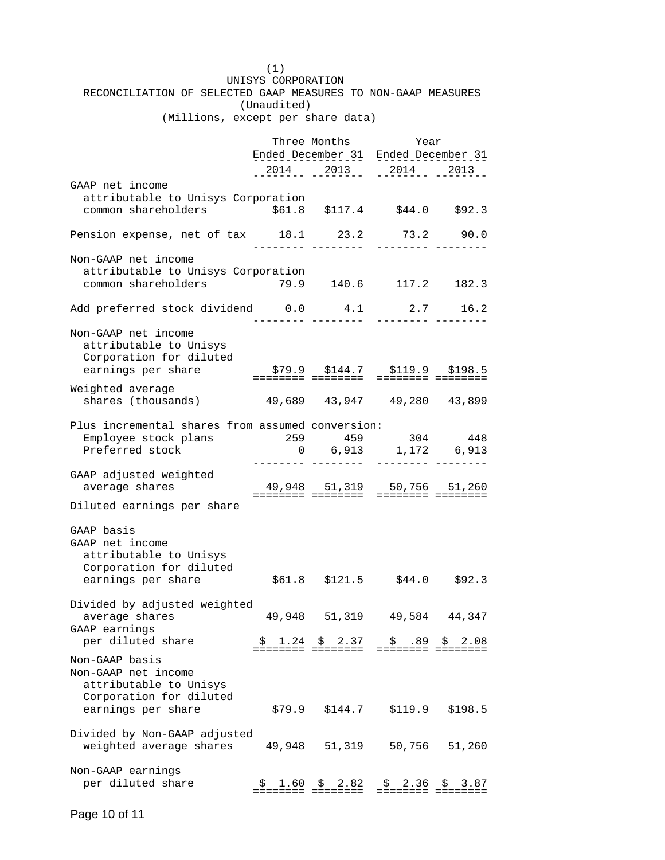(1) UNISYS CORPORATION RECONCILIATION OF SELECTED GAAP MEASURES TO NON-GAAP MEASURES (Unaudited) (Millions, except per share data) Three Months Year Ended December 31 Ended December 31  $-2014$   $-2013$   $-2013$   $-2014$   $-2013$ GAAP net income attributable to Unisys Corporation common shareholders \$61.8 \$117.4 \$44.0 \$92.3 Pension expense, net of tax 18.1 23.2 73.2 90.0 -------- -------- -------- -------- Non-GAAP net income attributable to Unisys Corporation common shareholders 79.9 140.6 117.2 182.3 Add preferred stock dividend 0.0 4.1 2.7 16.2 -------- -------- -------- -------- Non-GAAP net income attributable to Unisys Corporation for diluted earnings per share \$79.9 \$144.7 \$119.9 \$198.5 ======== ======== ======== ======== Weighted average shares (thousands) 49,689 43,947 49,280 43,899 Plus incremental shares from assumed conversion: Employee stock plans  $259$  459 304 448 Preferred stock 0 6,913 1,172 6,913 -------- -------- -------- -------- GAAP adjusted weighted average shares 49,948 51,319 50,756 51,260 ======== ======== ======== ======== Diluted earnings per share GAAP basis GAAP net income attributable to Unisys Corporation for diluted<br>earnings per share  $$61.8$   $$121.5$   $$44.0$   $$92.3$ Divided by adjusted weighted average shares 49,948 51,319 49,584 44,347 GAAP earnings<br>per diluted share per diluted share \$ 1.24 \$ 2.37 \$ .89 \$ 2.08 ======== ======== ======== ======== Non-GAAP basis Non-GAAP net income attributable to Unisys Corporation for diluted earnings per share \$79.9 \$144.7 \$119.9 \$198.5 Divided by Non-GAAP adjusted weighted average shares 49,948 51,319 50,756 51,260 Non-GAAP earnings per diluted share \$ 1.60 \$ 2.82 \$ 2.36 \$ 3.87 ======== ======== ======== ========